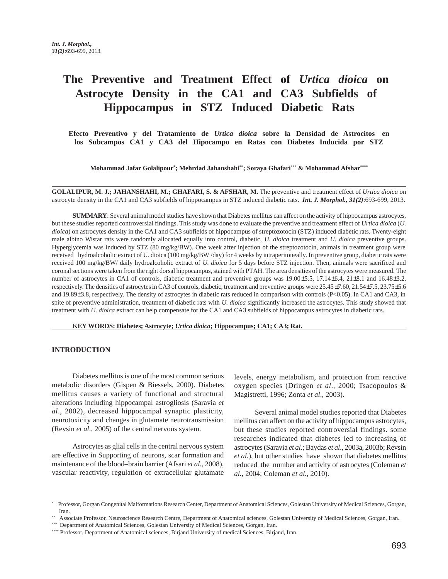# **The Preventive and Treatment Effect of** *Urtica dioica* **on Astrocyte Density in the CA1 and CA3 Subfields of Hippocampus in STZ Induced Diabetic Rats**

**Efecto Preventivo y del Tratamiento de** *Urtica dioica* **sobre la Densidad de Astrocitos en los Subcampos CA1 y CA3 del Hipocampo en Ratas con Diabetes Inducida por STZ**

**Mohammad Jafar Golalipour\* ; Mehrdad Jahanshahi\*\*; Soraya Ghafari\*\*\* & Mohammad Afshar\*\*\*\***

**GOLALIPUR, M. J.; JAHANSHAHI, M.; GHAFARI, S. & AFSHAR, M.** The preventive and treatment effect of *Urtica dioica* on astrocyte density in the CA1 and CA3 subfields of hippocampus in STZ induced diabetic rats. *Int. J. Morphol., 31(2)*:693-699, 2013.

**SUMMARY**: Several animal model studies have shown that Diabetes mellitus can affect on the activity of hippocampus astrocytes, but these studies reported controversial findings. This study was done to evaluate the preventive and treatment effect of *Urtica dioica* (*U. dioica*) on astrocytes density in the CA1 and CA3 subfields of hippocampus of streptozotocin (STZ) induced diabetic rats. Twenty-eight male albino Wistar rats were randomly allocated equally into control, diabetic, *U. dioica* treatment and *U. dioica* preventive groups. Hyperglycemia was induced by STZ (80 mg/kg/BW). One week after injection of the streptozotocin, animals in treatment group were received hydroalcoholic extract of U. dioica (100 mg/kg/BW /day) for 4 weeks by intraperitoneally. In preventive group, diabetic rats were received 100 mg/kg/BW/ daily hydroalcoholic extract of *U. dioica* for 5 days before STZ injection. Then, animals were sacrificed and coronal sections were taken from the right dorsal hippocampus, stained with PTAH. The area densities of the astrocytes were measured. The number of astrocytes in CA1 of controls, diabetic treatment and preventive groups was 19.00±5.5, 17.14±6.4, 21±8.1 and 16.48±3.2, respectively. The densities of astrocytes in CA3 of controls, diabetic, treatment and preventive groups were 25.45±7.60, 21.54±7.5, 23.75±5.6 and 19.89±3.8, respectively. The density of astrocytes in diabetic rats reduced in comparison with controls (P<0.05). In CA1 and CA3, in spite of preventive administration, treatment of diabetic rats with *U. dioica* significantly increased the astrocytes. This study showed that treatment with *U. dioica* extract can help compensate for the CA1 and CA3 subfields of hippocampus astrocytes in diabetic rats.

**KEY WORDS: Diabetes; Astrocyte;** *Urtica dioica***; Hippocampus; CA1; CA3; Rat.**

## **INTRODUCTION**

Diabetes mellitus is one of the most common serious metabolic disorders (Gispen & Biessels, 2000). Diabetes mellitus causes a variety of functional and structural alterations including hippocampal astrogliosis (Saravia *et al*., 2002), decreased hippocampal synaptic plasticity, neurotoxicity and changes in glutamate neurotransmission (Revsin *et al*., 2005) of the central nervous system.

Astrocytes as glial cells in the central nervous system are effective in Supporting of neurons, scar formation and maintenance of the blood–brain barrier (Afsari *et al.*, 2008), vascular reactivity, regulation of extracellular glutamate

levels, energy metabolism, and protection from reactive oxygen species (Dringen *et al*., 2000; Tsacopoulos & Magistretti, 1996; Zonta *et al*., 2003).

Several animal model studies reported that Diabetes mellitus can affect on the activity of hippocampus astrocytes, but these studies reported controversial findings. some researches indicated that diabetes led to increasing of astrocytes (Saravia *et al*.; Baydas *et al*., 2003a, 2003b; Revsin *et al.*), but other studies have shown that diabetes mellitus reduced the number and activity of astrocytes (Coleman *et al.*, 2004; Coleman *et al.*, 2010).

<sup>\*</sup> Professor, Gorgan Congenital Malformations Research Center, Department of Anatomical Sciences, Golestan University of Medical Sciences, Gorgan, Iran.

<sup>\*\*</sup> Associate Professor, Neuroscience Research Centre, Department of Anatomical sciences, Golestan University of Medical Sciences, Gorgan, Iran.

<sup>\*\*\*</sup> Department of Anatomical Sciences, Golestan University of Medical Sciences, Gorgan, Iran.

<sup>\*\*\*\*</sup> Professor, Department of Anatomical sciences, Birjand University of medical Sciences, Birjand, Iran.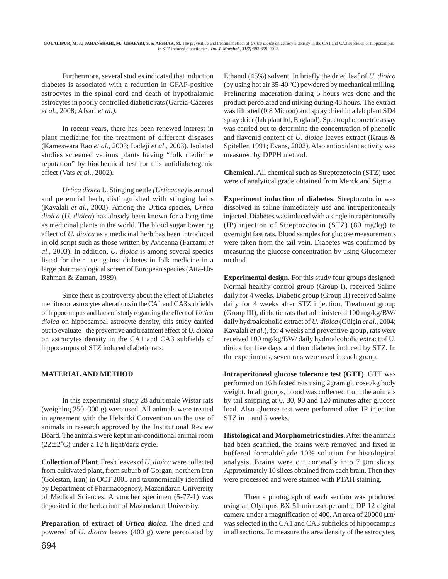Furthermore, several studies indicated that induction diabetes is associated with a reduction in GFAP-positive astrocytes in the spinal cord and death of hypothalamic astrocytes in poorly controlled diabetic rats (García-Cáceres *et al.,* 2008; Afsari *et al.)*.

In recent years, there has been renewed interest in plant medicine for the treatment of different diseases (Kameswara Rao *et al*., 2003; Ladeji *et al*., 2003). Isolated studies screened various plants having "folk medicine reputation" by biochemical test for this antidiabetogenic effect (Vats *et al*., 2002).

*Urtica dioica* L. Stinging nettle *(Urticacea)* is annual and perennial herb, distinguished with stinging hairs (Kavalali *et al.,* 2003). Among the Urtica species, *Urtica dioica* (*U. dioica*) has already been known for a long time as medicinal plants in the world. The blood sugar lowering effect of *U. dioica* as a medicinal herb has been introduced in old script such as those written by Avicenna (Farzami *et al.,* 2003). In addition, *U. dioica* is among several species listed for their use against diabetes in folk medicine in a large pharmacological screen of European species (Atta-Ur-Rahman & Zaman, 1989).

Since there is controversy about the effect of Diabetes mellitus on astrocytes alterations in the CA1 and CA3 subfields of hippocampus and lack of study regarding the effect of *Urtica dioica* on hippocampal astrocyte density, this study carried out to evaluate the preventive and treatment effect of *U. dioica* on astrocytes density in the CA1 and CA3 subfields of hippocampus of STZ induced diabetic rats.

# **MATERIAL AND METHOD**

In this experimental study 28 adult male Wistar rats (weighing 250–300 g) were used. All animals were treated in agreement with the Helsinki Convention on the use of animals in research approved by the Institutional Review Board. The animals were kept in air-conditional animal room  $(22±2°C)$  under a 12 h light/dark cycle.

**Collection of Plant**. Fresh leaves of *U. dioica* were collected from cultivated plant, from suburb of Gorgan, northern Iran (Golestan, Iran) in OCT 2005 and taxonomically identified by Department of Pharmacognosy, Mazandaran University of Medical Sciences. A voucher specimen (5-77-1) was deposited in the herbarium of Mazandaran University.

**Preparation of extract of** *Urtica dioica*. The dried and powered of *U. dioica* leaves (400 g) were percolated by

Ethanol (45%) solvent. In briefly the dried leaf of *U. dioica* (by using hot air 35-40 ºC) powdered by mechanical milling. Prelinering maceration during 5 hours was done and the product percolated and mixing during 48 hours. The extract was filtrated (0.8 Micron) and spray dried in a lab plant SD4 spray drier (lab plant ltd, England). Spectrophotometric assay was carried out to determine the concentration of phenolic and flavonid content of *U. dioica* leaves extract (Kraus & Spiteller, 1991; Evans, 2002). Also antioxidant activity was measured by DPPH method.

**Chemical**. All chemical such as Streptozotocin (STZ) used were of analytical grade obtained from Merck and Sigma.

**Experiment induction of diabetes**. Streptozotocin was dissolved in saline immediately use and intraperitoneally injected. Diabetes was induced with a single intraperitoneally (IP) injection of Streptozotocin (STZ) (80 mg/kg) to overnight fast rats. Blood samples for glucose measurements were taken from the tail vein. Diabetes was confirmed by measuring the glucose concentration by using Glucometer method.

**Experimental design**. For this study four groups designed: Normal healthy control group (Group I), received Saline daily for 4 weeks. Diabetic group (Group II) received Saline daily for 4 weeks after STZ injection, Treatment group (Group III), diabetic rats that administered 100 mg/kg/BW/ daily hydroalcoholic extract of *U. dioica* (Gülçin *et al*., 2004; Kavalali *et al*.), for 4 weeks and preventive group, rats were received 100 mg/kg/BW/ daily hydroalcoholic extract of U. dioica for five days and then diabetes induced by STZ. In the experiments, seven rats were used in each group.

**Intraperitoneal glucose tolerance test (GTT)**. GTT was performed on 16 h fasted rats using 2gram glucose /kg body weight. In all groups, blood was collected from the animals by tail snipping at 0, 30, 90 and 120 minutes after glucose load. Also glucose test were performed after IP injection STZ in 1 and 5 weeks.

**Histological and Morphometric studies**. After the animals had been scarified, the brains were removed and fixed in buffered formaldehyde 10% solution for histological analysis. Brains were cut coronally into 7 µm slices. Approximately 10 slices obtained from each brain. Then they were processed and were stained with PTAH staining.

Then a photograph of each section was produced using an Olympus BX 51 microscope and a DP 12 digital camera under a magnification of 400. An area of  $20000 \mu m^2$ was selected in the CA1 and CA3 subfields of hippocampus in all sections. To measure the area density of the astrocytes,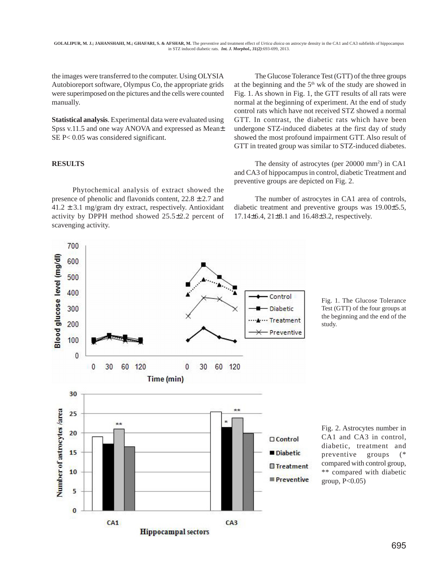the images were transferred to the computer. Using OLYSIA Autobioreport software, Olympus Co, the appropriate grids were superimposed on the pictures and the cells were counted manually.

**Statistical analysis**. Experimental data were evaluated using Spss v.11.5 and one way ANOVA and expressed as Mean± SE P< 0.05 was considered significant.

#### **RESULTS**

700

Phytochemical analysis of extract showed the presence of phenolic and flavonids content,  $22.8 \pm 2.7$  and  $41.2 \pm 3.1$  mg/gram dry extract, respectively. Antioxidant activity by DPPH method showed 25.5±2.2 percent of scavenging activity.

The Glucose Tolerance Test (GTT) of the three groups at the beginning and the 5<sup>th</sup> wk of the study are showed in Fig. 1. As shown in Fig. 1, the GTT results of all rats were normal at the beginning of experiment. At the end of study control rats which have not received STZ showed a normal GTT. In contrast, the diabetic rats which have been undergone STZ-induced diabetes at the first day of study showed the most profound impairment GTT. Also result of GTT in treated group was similar to STZ-induced diabetes.

The density of astrocytes (per 20000 mm<sup>2</sup>) in CA1 and CA3 of hippocampus in control, diabetic Treatment and preventive groups are depicted on Fig. 2.

The number of astrocytes in CA1 area of controls, diabetic treatment and preventive groups was 19.00±5.5, 17.14±6.4, 21±8.1 and 16.48±3.2, respectively.



Fig. 1. The Glucose Tolerance Test (GTT) of the four groups at the beginning and the end of the study.

Fig. 2. Astrocytes number in CA1 and CA3 in control, diabetic, treatment and preventive groups (\* compared with control group, \*\* compared with diabetic group,  $P<0.05$ )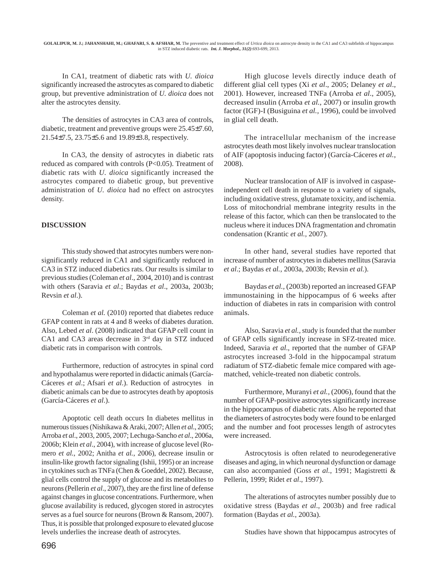In CA1, treatment of diabetic rats with *U. dioica* significantly increased the astrocytes as compared to diabetic group, but preventive administration of *U. dioica* does not alter the astrocytes density.

The densities of astrocytes in CA3 area of controls, diabetic, treatment and preventive groups were 25.45±7.60, 21.54±7.5, 23.75±5.6 and 19.89±3.8, respectively.

In CA3, the density of astrocytes in diabetic rats reduced as compared with controls (P<0.05). Treatment of diabetic rats with *U. dioica* significantly increased the astrocytes compared to diabetic group, but preventive administration of *U. dioica* had no effect on astrocytes density.

# **DISCUSSION**

This study showed that astrocytes numbers were nonsignificantly reduced in CA1 and significantly reduced in CA3 in STZ induced diabetics rats. Our results is similar to previous studies (Coleman *et al*., 2004, 2010) and is contrast with others (Saravia *et al*.; Baydas *et al*., 2003a, 2003b; Revsin *et al*.).

Coleman *et al.* (2010) reported that diabetes reduce GFAP content in rats at 4 and 8 weeks of diabetes duration. Also, Lebed *et al*. (2008) indicated that GFAP cell count in CA1 and CA3 areas decrease in  $3<sup>rd</sup>$  day in STZ induced diabetic rats in comparison with controls.

Furthermore, reduction of astrocytes in spinal cord and hypothalamus were reported in didactic animals (García-Cáceres *et al*.; Afsari *et al*.). Reduction of astrocytes in diabetic animals can be due to astrocytes death by apoptosis (García-Cáceres *et al*.).

Apoptotic cell death occurs In diabetes mellitus in numerous tissues (Nishikawa & Araki, 2007; Allen *et al*., 2005; Arroba *et al*., 2003, 2005, 2007; Lechuga-Sancho *et al*., 2006a, 2006b; Klein *et al*., 2004), with increase of glucose level (Romero *et al.*, 2002; Anitha *et al.*, 2006), decrease insulin or insulin-like growth factor signaling (Ishii, 1995) or an increase in cytokines such as TNFa (Chen & Goeddel, 2002). Because, glial cells control the supply of glucose and its metabolites to neurons (Pellerin *et al*., 2007), they are the first line of defense against changes in glucose concentrations. Furthermore, when glucose availability is reduced, glycogen stored in astrocytes serves as a fuel source for neurons (Brown & Ransom, 2007). Thus, it is possible that prolonged exposure to elevated glucose levels underlies the increase death of astrocytes.

High glucose levels directly induce death of different glial cell types (Xi *et al*., 2005; Delaney *et al*., 2001). However, increased TNFa (Arroba *et al*., 2005), decreased insulin (Arroba *et al.*, 2007) or insulin growth factor (IGF)-I (Busiguina *et al.,* 1996), could be involved in glial cell death.

The intracellular mechanism of the increase astrocytes death most likely involves nuclear translocation of AIF (apoptosis inducing factor) (García-Cáceres *et al.*, 2008).

Nuclear translocation of AIF is involved in caspaseindependent cell death in response to a variety of signals, including oxidative stress, glutamate toxicity, and ischemia. Loss of mitochondrial membrane integrity results in the release of this factor, which can then be translocated to the nucleus where it induces DNA fragmentation and chromatin condensation (Krantic *et al.,* 2007).

In other hand, several studies have reported that increase of number of astrocytes in diabetes mellitus (Saravia *et al*.; Baydas *et al.*, 2003a, 2003b; Revsin *et al.*).

Baydas *et al.,* (2003b) reported an increased GFAP immunostaining in the hippocampus of 6 weeks after induction of diabetes in rats in comparision with control animals.

Also, Saravia *et al.,* study is founded that the number of GFAP cells significantly increase in SFZ-treated mice. Indeed, Saravia *et al*., reported that the number of GFAP astrocytes increased 3-fold in the hippocampal stratum radiatum of STZ-diabetic female mice compared with agematched, vehicle-treated non diabetic controls.

Furthermore, Muranyi *et al.,* (2006), found that the number of GFAP-positive astrocytes significantly increase in the hippocampus of diabetic rats. Also he reported that the diameters of astrocytes body were found to be enlarged and the number and foot processes length of astrocytes were increased.

Astrocytosis is often related to neurodegenerative diseases and aging, in which neuronal dysfunction or damage can also accompanied (Goss *et al.*, 1991; Magistretti & Pellerin, 1999; Ridet *et al*., 1997).

The alterations of astrocytes number possibly due to oxidative stress (Baydas *et al*., 2003b) and free radical formation (Baydas *et al.*, 2003a).

Studies have shown that hippocampus astrocytes of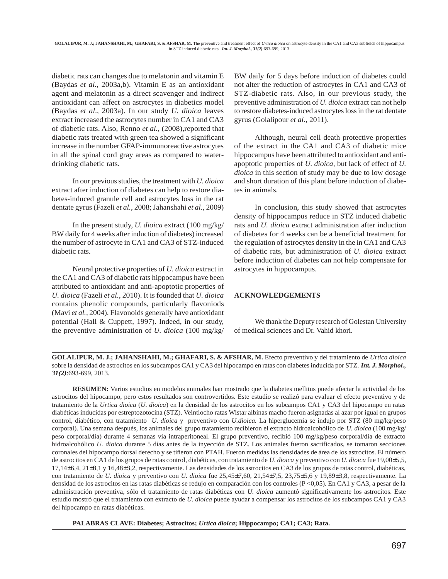diabetic rats can changes due to melatonin and vitamin E (Baydas *et al.*, 2003a,b). Vitamin E as an antioxidant agent and melatonin as a direct scavenger and indirect antioxidant can affect on astrocytes in diabetics model (Baydas *et al*., 2003a). In our study *U. dioica* leaves extract increased the astrocytes number in CA1 and CA3 of diabetic rats. Also, Renno *et al.,* (2008),reported that diabetic rats treated with green tea showed a significant increase in the number GFAP-immunoreactive astrocytes in all the spinal cord gray areas as compared to waterdrinking diabetic rats.

In our previous studies, the treatment with *U. dioica* extract after induction of diabetes can help to restore diabetes-induced granule cell and astrocytes loss in the rat dentate gyrus (Fazeli *et al.*, 2008; Jahanshahi *et al.*, 2009)

In the present study, *U. dioica* extract (100 mg/kg/ BW daily for 4 weeks after induction of diabetes) increased the number of astrocyte in CA1 and CA3 of STZ-induced diabetic rats.

Neural protective properties of *U. dioica* extract in the CA1 and CA3 of diabetic rats hippocampus have been attributed to antioxidant and anti-apoptotic properties of *U. dioica* (Fazeli *et al.*, 2010). It is founded that *U. dioica* contains phenolic compounds, particularly flavoniods (Mavi *et al.,* 2004). Flavonoids generally have antioxidant potential (Hall & Cuppett, 1997). Indeed, in our study, the preventive administration of *U. dioica* (100 mg/kg/

BW daily for 5 days before induction of diabetes could not alter the reduction of astrocytes in CA1 and CA3 of STZ-diabetic rats. Also, in our previous study, the preventive administration of *U. dioica* extract can not help to restore diabetes-induced astrocytes loss in the rat dentate gyrus (Golalipour *et al*., 2011).

Although, neural cell death protective properties of the extract in the CA1 and CA3 of diabetic mice hippocampus have been attributed to antioxidant and antiapoptotic properties of *U. dioica,* but lack of effect of *U. dioica* in this section of study may be due to low dosage and short duration of this plant before induction of diabetes in animals.

In conclusion, this study showed that astrocytes density of hippocampus reduce in STZ induced diabetic rats and *U. dioica* extract administration after induction of diabetes for 4 weeks can be a beneficial treatment for the regulation of astrocytes density in the in CA1 and CA3 of diabetic rats, but administration of *U. dioica* extract before induction of diabetes can not help compensate for astrocytes in hippocampus.

## **ACKNOWLEDGEMENTS**

We thank the Deputy research of Golestan University of medical sciences and Dr. Vahid khori.

**GOLALIPUR, M. J.; JAHANSHAHI, M.; GHAFARI, S. & AFSHAR, M.** Efecto preventivo y del tratamiento de *Urtica dioica* sobre la densidad de astrocitos en los subcampos CA1 y CA3 del hipocampo en ratas con diabetes inducida por STZ. *Int. J. Morphol., 31(2)*:693-699, 2013.

**RESUMEN:** Varios estudios en modelos animales han mostrado que la diabetes mellitus puede afectar la actividad de los astrocitos del hipocampo, pero estos resultados son controvertidos. Este estudio se realizó para evaluar el efecto preventivo y de tratamiento de la *Urtica dioica* (*U. dioica*) en la densidad de los astrocitos en los subcampos CA1 y CA3 del hipocampo en ratas diabéticas inducidas por estreptozotocina (STZ). Veintiocho ratas Wistar albinas macho fueron asignadas al azar por igual en grupos control, diabético, con tratamiento *U. dioica* y preventivo con *U.dioica.* La hiperglucemia se indujo por STZ (80 mg/kg/peso corporal). Una semana después, los animales del grupo tratamiento recibieron el extracto hidroalcohólico de *U. dioica* (100 mg/kg/ peso corporal/día) durante 4 semanas vía intraperitoneal. El grupo preventivo, recibió 100 mg/kg/peso corporal/día de extracto hidroalcohólico *U. dioica* durante 5 días antes de la inyección de STZ. Los animales fueron sacrificados, se tomaron secciones coronales del hipocampo dorsal derecho y se tiñeron con PTAH. Fueron medidas las densidades de área de los astrocitos. El número de astrocitos en CA1 de los grupos de ratas control, diabéticas, con tratamiento de *U. dioica* y preventivo con *U. dioica* fue 19,00±5,5, 17,14±6,4, 21±8,1 y 16,48±3,2, respectivamente. Las densidades de los astrocitos en CA3 de los grupos de ratas control, diabéticas, con tratamiento de *U. dioica* y preventivo con *U. dioica* fue 25,45±7,60, 21,54±7,5, 23,75±5,6 y 19,89±3,8, respectivamente. La densidad de los astrocitos en las ratas diabéticas se redujo en comparación con los controles (P <0,05). En CA1 y CA3, a pesar de la administración preventiva, sólo el tratamiento de ratas diabéticas con *U. dioica* aumentó significativamente los astrocitos. Este estudio mostró que el tratamiento con extracto de *U. dioica* puede ayudar a compensar los astrocitos de los subcampos CA1 y CA3 del hipocampo en ratas diabéticas.

**PALABRAS CLAVE: Diabetes; Astrocitos;** *Urtica dioica***; Hippocampo; CA1; CA3; Rata.**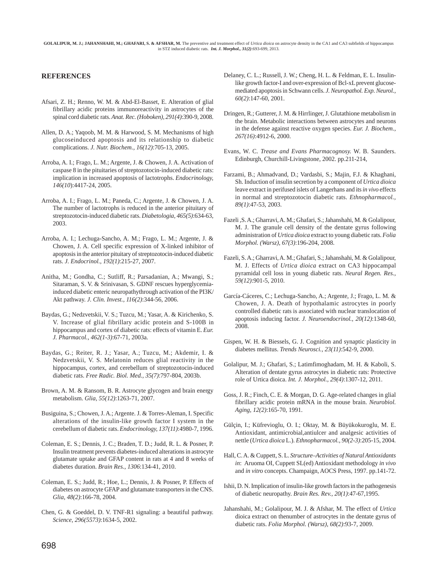**GOLALIPUR, M. J.; JAHANSHAHI, M.; GHAFARI, S. & AFSHAR, M.** The preventive and treatment effect of *Urtica dioica* on astrocyte density in the CA1 and CA3 subfields of hippocampus in STZ induced diabetic rats. *Int. J. Morphol., 31(2)*:693-699, 2013.

#### **REFERENCES**

- Afsari, Z. H.; Renno, W. M. & Abd-El-Basset, E. Alteration of glial fibrillary acidic proteins immunoreactivity in astrocytes of the spinal cord diabetic rats. *Anat. Rec. (Hoboken), 291(4)*:390-9, 2008.
- Allen, D. A.; Yaqoob, M. M. & Harwood, S. M. Mechanisms of high glucoseinduced apoptosis and its relationship to diabetic complications. *J. Nutr. Biochem., 16(12)*:705-13, 2005.
- Arroba, A. I.; Frago, L. M.; Argente, J. & Chowen, J. A. Activation of caspase 8 in the pituitaries of streptozotocin-induced diabetic rats: implication in increased apoptosis of lactotrophs. *Endocrinology, 146(10*):4417-24, 2005.
- Arroba, A. I.; Frago, L. M.; Paneda, C.; Argente, J. & Chowen, J. A. The number of lactotrophs is reduced in the anterior pituitary of streptozotocin-induced diabetic rats. *Diabetologia, 465(5)*:634-63, 2003.
- Arroba, A. I.; Lechuga-Sancho, A. M.; Frago, L. M.; Argente, J. & Chowen, J. A. Cell specific expression of X-linked inhibitor of apoptosis in the anterior pituitary of streptozotocin-induced diabetic rats. *J. Endocrinol., 192(1)*:215-27, 2007.
- Anitha, M.; Gondha, C.; Sutliff, R.; Parsadanian, A.; Mwangi, S.; Sitaraman, S. V. & Srinivasan, S. GDNF rescues hyperglycemiainduced diabetic enteric neuropathythrough activation of the PI3K/ Akt pathway. *J. Clin. Invest., 116(2)*:344-56, 2006.
- Baydas, G.; Nedzvetskii, V. S.; Tuzcu, M.; Yasar, A. & Kirichenko, S. V. Increase of glial fibrillary acidic protein and S-100B in hippocampus and cortex of diabetic rats: effects of vitamin E. *Eur. J. Pharmacol., 462(1-3)*:67-71, 2003a.
- Baydas, G.; Reiter, R. J.; Yasar, A.; Tuzcu, M.; Akdemir, I. & Nedzvetskii, V. S. Melatonin reduces glial reactivity in the hippocampus, cortex, and cerebellum of streptozotocin-induced diabetic rats. *Free Radic. Biol. Med., 35(7)*:797-804, 2003b.
- Brown, A. M. & Ransom, B. R. Astrocyte glycogen and brain energy metabolism. *Glia, 55(12)*:1263-71, 2007.
- Busiguina, S.; Chowen, J. A.; Argente. J. & Torres-Aleman, I. Specific alterations of the insulin-like growth factor I system in the cerebellum of diabetic rats. *Endocrinology, 137(11)*:4980-7, 1996.
- Coleman, E. S.; Dennis, J. C.; Braden, T. D.; Judd, R. L. & Posner, P. Insulin treatment prevents diabetes-induced alterations in astrocyte glutamate uptake and GFAP content in rats at 4 and 8 weeks of diabetes duration. *Brain Res., 1306*:134-41, 2010.
- Coleman, E. S.; Judd, R.; Hoe, L.; Dennis, J. & Posner, P. Effects of diabetes on astrocyte GFAP and glutamate transporters in the CNS. *Glia, 48(2)*:166-78, 2004.
- Chen, G. & Goeddel, D. V. TNF-R1 signaling: a beautiful pathway. *Science, 296(5573)*:1634-5, 2002.
- Delaney, C. L.; Russell, J. W.; Cheng, H. L. & Feldman, E. L. Insulinlike growth factor-I and over-expression of Bcl-xL prevent glucosemediated apoptosis in Schwann cells. *J. Neuropathol. Exp. Neurol., 60(2)*:147-60, 2001.
- Dringen, R.; Gutterer, J. M. & Hirrlinger, J. Glutathione metabolism in the brain. Metabolic interactions between astrocytes and neurons in the defense against reactive oxygen species. *Eur. J. Biochem., 267(16)*:4912-6, 2000.
- Evans, W. C. *Trease and Evans Pharmacognosy.* W. B. Saunders. Edinburgh, Churchill-Livingstone, 2002. pp.211-214,
- Farzami, B.; Ahmadvand, D.; Vardasbi, S.; Majin, F.J. & Khaghani, Sh. Induction of insulin secretion by a component of *Urtica dioica* leave extract in perifused islets of Langerhans and its *in vivo* effects in normal and streptozotocin diabetic rats. *Ethnopharmacol., 89(1)*:47-53, 2003.
- Fazeli ,S. A.; Gharravi, A. M.; Ghafari, S.; Jahanshahi, M. & Golalipour, M. J. The granule cell density of the dentate gyrus following administration of *Urtica dioica* extract to young diabetic rats. *Folia Morphol. (Warsz), 67(3)*:196-204, 2008.
- Fazeli, S. A.; Gharravi, A. M.; Ghafari, S.; Jahanshahi, M. & Golalipour, M. J. Effects of *Urtica dioica* extract on CA3 hippocampal pyramidal cell loss in young diabetic rats. *Neural Regen. Res., 59(12)*:901-5, 2010.
- García-Cáceres, C.; Lechuga-Sancho, A.; Argente, J.; Frago, L. M. & Chowen, J. A. Death of hypothalamic astrocytes in poorly controlled diabetic rats is associated with nuclear translocation of apoptosis inducing factor. *J. Neuroendocrinol., 20(12)*:1348-60, 2008.
- Gispen, W. H. & Biessels, G. J. Cognition and synaptic plasticity in diabetes mellitus. *Trends Neurosci., 23(11)*:542-9, 2000.
- Golalipur, M. J.; Ghafari, S.; Latimfimoghadam, M. H. & Kaboli, S. Alteration of dentate gyrus astrocytes in diabetic rats: Protective role of Urtica dioica. *Int. J. Morphol., 29(4)*:1307-12, 2011.
- Goss, J. R.; Finch, C. E. & Morgan, D. G. Age-related changes in glial fibrillary acidic protein mRNA in the mouse brain. *Neurobiol. Aging, 12(2)*:165-70, 1991.
- Gülçin, I.; Küfrevioglu, O. I.; Oktay, M. & Büyükokuroglu, M. E. Antioxidant, antimicrobial,antiulcer and analgesic activities of nettle (*Urtica dioica* L.). *Ethnopharmacol., 90(2-3)*:205-15, 2004.
- Hall, C. A. & Cuppett, S. L. *Structure–Activities of Natural Antioxidants in*: Aruoma OI, Cuppett SL(ed) Antioxidant methodology *in vivo* and *in vitro* concepts. Champaign, AOCS Press, 1997. pp.141-72.
- Ishii, D. N. Implication of insulin-like growth factors in the pathogenesis of diabetic neuropathy. *Brain Res. Rev., 20(1)*:47-67,1995.
- Jahanshahi, M.; Golalipour, M. J. & Afshar, M. The effect of *Urtica* dioica extract on thenumber of astrocytes in the dentate gyrus of diabetic rats. *Folia Morphol. (Warsz), 68(2)*:93-7, 2009.